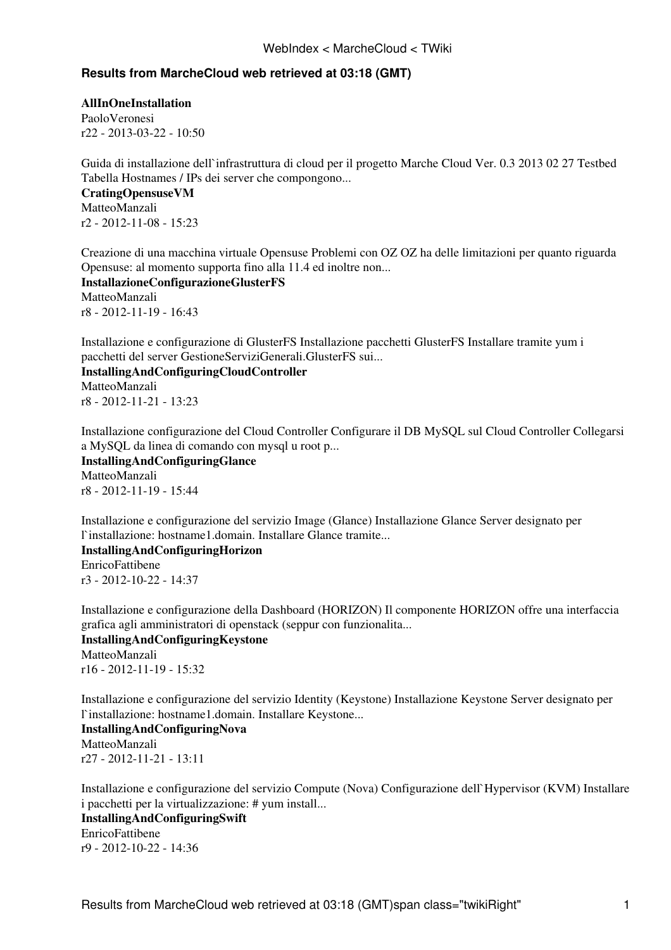# **Results from MarcheCloud web retrieved at 03:18 (GMT)**

**[AllInOneInstallation](https://wiki-igi.cnaf.infn.it/twiki/bin/view/MarcheCloud/AllInOneInstallation)**

[PaoloVeronesi](https://wiki-igi.cnaf.infn.it/twiki/bin/view/Main/PaoloVeronesi) r22 - [2013-03-22 - 10:50](https://wiki-igi.cnaf.infn.it/twiki/bin/rdiff/MarcheCloud/AllInOneInstallation)

Guida di installazione dell`infrastruttura di cloud per il progetto Marche Cloud Ver. 0.3 2013 02 27 Testbed Tabella Hostnames / IPs dei server che compongono...

**[CratingOpensuseVM](https://wiki-igi.cnaf.infn.it/twiki/bin/view/MarcheCloud/CratingOpensuseVM)** [MatteoManzali](https://wiki-igi.cnaf.infn.it/twiki/bin/view/Main/MatteoManzali) r2 - [2012-11-08 - 15:23](https://wiki-igi.cnaf.infn.it/twiki/bin/rdiff/MarcheCloud/CratingOpensuseVM) 

Creazione di una macchina virtuale Opensuse Problemi con OZ OZ ha delle limitazioni per quanto riguarda Opensuse: al momento supporta fino alla 11.4 ed inoltre non...

**[InstallazioneConfigurazioneGlusterFS](https://wiki-igi.cnaf.infn.it/twiki/bin/view/MarcheCloud/InstallazioneConfigurazioneGlusterFS)** [MatteoManzali](https://wiki-igi.cnaf.infn.it/twiki/bin/view/Main/MatteoManzali) r8 - [2012-11-19 - 16:43](https://wiki-igi.cnaf.infn.it/twiki/bin/rdiff/MarcheCloud/InstallazioneConfigurazioneGlusterFS) 

Installazione e configurazione di GlusterFS Installazione pacchetti GlusterFS Installare tramite yum i pacchetti del server GestioneServiziGenerali.GlusterFS sui...

**[InstallingAndConfiguringCloudController](https://wiki-igi.cnaf.infn.it/twiki/bin/view/MarcheCloud/InstallingAndConfiguringCloudController)** [MatteoManzali](https://wiki-igi.cnaf.infn.it/twiki/bin/view/Main/MatteoManzali) r8 - [2012-11-21 - 13:23](https://wiki-igi.cnaf.infn.it/twiki/bin/rdiff/MarcheCloud/InstallingAndConfiguringCloudController) 

Installazione configurazione del Cloud Controller Configurare il DB MySQL sul Cloud Controller Collegarsi a MySQL da linea di comando con mysql u root p...

**[InstallingAndConfiguringGlance](https://wiki-igi.cnaf.infn.it/twiki/bin/view/MarcheCloud/InstallingAndConfiguringGlance)** [MatteoManzali](https://wiki-igi.cnaf.infn.it/twiki/bin/view/Main/MatteoManzali) r8 - [2012-11-19 - 15:44](https://wiki-igi.cnaf.infn.it/twiki/bin/rdiff/MarcheCloud/InstallingAndConfiguringGlance) 

Installazione e configurazione del servizio Image (Glance) Installazione Glance Server designato per l`installazione: hostname1.domain. Installare Glance tramite...

**[InstallingAndConfiguringHorizon](https://wiki-igi.cnaf.infn.it/twiki/bin/view/MarcheCloud/InstallingAndConfiguringHorizon)** [EnricoFattibene](https://wiki-igi.cnaf.infn.it/twiki/bin/view/Main/EnricoFattibene)

r3 - [2012-10-22 - 14:37](https://wiki-igi.cnaf.infn.it/twiki/bin/rdiff/MarcheCloud/InstallingAndConfiguringHorizon) 

Installazione e configurazione della Dashboard (HORIZON) Il componente HORIZON offre una interfaccia grafica agli amministratori di openstack (seppur con funzionalita...

**[InstallingAndConfiguringKeystone](https://wiki-igi.cnaf.infn.it/twiki/bin/view/MarcheCloud/InstallingAndConfiguringKeystone)** [MatteoManzali](https://wiki-igi.cnaf.infn.it/twiki/bin/view/Main/MatteoManzali) r16 - [2012-11-19 - 15:32](https://wiki-igi.cnaf.infn.it/twiki/bin/rdiff/MarcheCloud/InstallingAndConfiguringKeystone)

Installazione e configurazione del servizio Identity (Keystone) Installazione Keystone Server designato per l`installazione: hostname1.domain. Installare Keystone...

**[InstallingAndConfiguringNova](https://wiki-igi.cnaf.infn.it/twiki/bin/view/MarcheCloud/InstallingAndConfiguringNova)** [MatteoManzali](https://wiki-igi.cnaf.infn.it/twiki/bin/view/Main/MatteoManzali) r27 - [2012-11-21 - 13:11](https://wiki-igi.cnaf.infn.it/twiki/bin/rdiff/MarcheCloud/InstallingAndConfiguringNova)

Installazione e configurazione del servizio Compute (Nova) Configurazione dell`Hypervisor (KVM) Installare i pacchetti per la virtualizzazione: # yum install...

**[InstallingAndConfiguringSwift](https://wiki-igi.cnaf.infn.it/twiki/bin/view/MarcheCloud/InstallingAndConfiguringSwift)** [EnricoFattibene](https://wiki-igi.cnaf.infn.it/twiki/bin/view/Main/EnricoFattibene) r9 - [2012-10-22 - 14:36](https://wiki-igi.cnaf.infn.it/twiki/bin/rdiff/MarcheCloud/InstallingAndConfiguringSwift)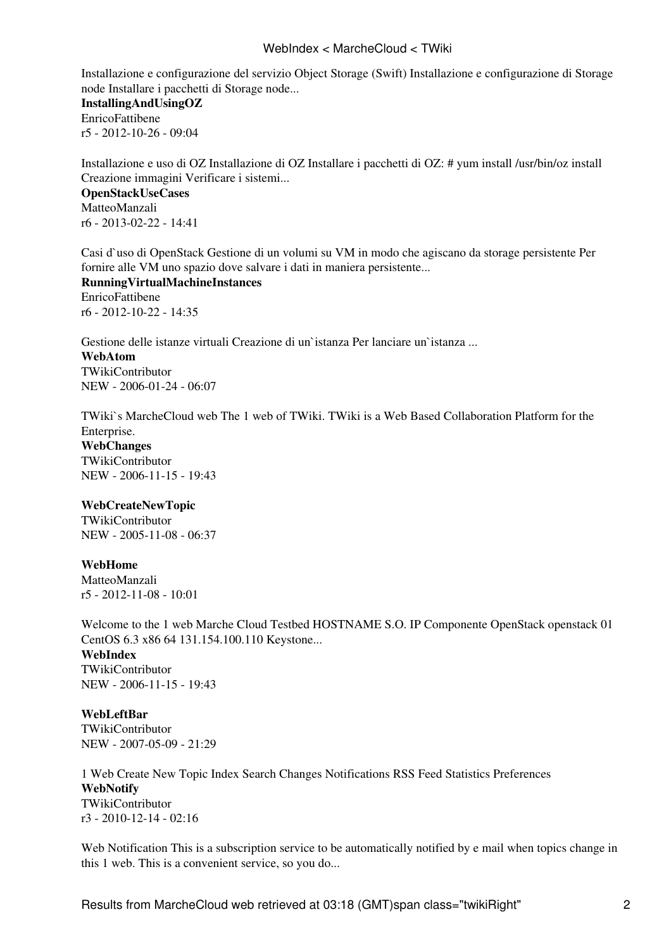#### WebIndex < MarcheCloud < TWiki

Installazione e configurazione del servizio Object Storage (Swift) Installazione e configurazione di Storage node Installare i pacchetti di Storage node...

**[InstallingAndUsingOZ](https://wiki-igi.cnaf.infn.it/twiki/bin/view/MarcheCloud/InstallingAndUsingOZ)** [EnricoFattibene](https://wiki-igi.cnaf.infn.it/twiki/bin/view/Main/EnricoFattibene) r5 - [2012-10-26 - 09:04](https://wiki-igi.cnaf.infn.it/twiki/bin/rdiff/MarcheCloud/InstallingAndUsingOZ) 

Installazione e uso di OZ Installazione di OZ Installare i pacchetti di OZ: # yum install /usr/bin/oz install Creazione immagini Verificare i sistemi...

**[OpenStackUseCases](https://wiki-igi.cnaf.infn.it/twiki/bin/view/MarcheCloud/OpenStackUseCases)** [MatteoManzali](https://wiki-igi.cnaf.infn.it/twiki/bin/view/Main/MatteoManzali) r6 - [2013-02-22 - 14:41](https://wiki-igi.cnaf.infn.it/twiki/bin/rdiff/MarcheCloud/OpenStackUseCases) 

Casi d`uso di OpenStack Gestione di un volumi su VM in modo che agiscano da storage persistente Per fornire alle VM uno spazio dove salvare i dati in maniera persistente...

**[RunningVirtualMachineInstances](https://wiki-igi.cnaf.infn.it/twiki/bin/view/MarcheCloud/RunningVirtualMachineInstances)** [EnricoFattibene](https://wiki-igi.cnaf.infn.it/twiki/bin/view/Main/EnricoFattibene) r6 - [2012-10-22 - 14:35](https://wiki-igi.cnaf.infn.it/twiki/bin/rdiff/MarcheCloud/RunningVirtualMachineInstances) 

Gestione delle istanze virtuali Creazione di un`istanza Per lanciare un`istanza ... **[WebAtom](https://wiki-igi.cnaf.infn.it/twiki/bin/view/MarcheCloud/WebAtom)** [TWikiContributor](https://wiki-igi.cnaf.infn.it/twiki/bin/view/Main/TWikiContributor) NEW - [2006-01-24 - 06:07](https://wiki-igi.cnaf.infn.it/twiki/bin/rdiff/MarcheCloud/WebAtom) 

TWiki`s MarcheCloud web The 1 web of TWiki. TWiki is a Web Based Collaboration Platform for the Enterprise.

**[WebChanges](https://wiki-igi.cnaf.infn.it/twiki/bin/view/MarcheCloud/WebChanges)** [TWikiContributor](https://wiki-igi.cnaf.infn.it/twiki/bin/view/Main/TWikiContributor) NEW - [2006-11-15 - 19:43](https://wiki-igi.cnaf.infn.it/twiki/bin/rdiff/MarcheCloud/WebChanges) 

#### **[WebCreateNewTopic](https://wiki-igi.cnaf.infn.it/twiki/bin/view/MarcheCloud/WebCreateNewTopic)**

[TWikiContributor](https://wiki-igi.cnaf.infn.it/twiki/bin/view/Main/TWikiContributor) NEW - [2005-11-08 - 06:37](https://wiki-igi.cnaf.infn.it/twiki/bin/rdiff/MarcheCloud/WebCreateNewTopic) 

#### **[WebHome](https://wiki-igi.cnaf.infn.it/twiki/bin/view/MarcheCloud/WebHome)**

[MatteoManzali](https://wiki-igi.cnaf.infn.it/twiki/bin/view/Main/MatteoManzali) r5 - [2012-11-08 - 10:01](https://wiki-igi.cnaf.infn.it/twiki/bin/rdiff/MarcheCloud/WebHome) 

Welcome to the 1 web Marche Cloud Testbed HOSTNAME S.O. IP Componente OpenStack openstack 01 CentOS 6.3 x86 64 131.154.100.110 Keystone...

# **WebIndex**

[TWikiContributor](https://wiki-igi.cnaf.infn.it/twiki/bin/view/Main/TWikiContributor) NEW - [2006-11-15 - 19:43](https://wiki-igi.cnaf.infn.it/twiki/bin/rdiff/MarcheCloud/WebIndex) 

**[WebLeftBar](https://wiki-igi.cnaf.infn.it/twiki/bin/view/MarcheCloud/WebLeftBar)** [TWikiContributor](https://wiki-igi.cnaf.infn.it/twiki/bin/view/Main/TWikiContributor) NEW - [2007-05-09 - 21:29](https://wiki-igi.cnaf.infn.it/twiki/bin/rdiff/MarcheCloud/WebLeftBar) 

1 Web Create New Topic Index Search Changes Notifications RSS Feed Statistics Preferences **[WebNotify](https://wiki-igi.cnaf.infn.it/twiki/bin/view/MarcheCloud/WebNotify)** [TWikiContributor](https://wiki-igi.cnaf.infn.it/twiki/bin/view/Main/TWikiContributor) r3 - [2010-12-14 - 02:16](https://wiki-igi.cnaf.infn.it/twiki/bin/rdiff/MarcheCloud/WebNotify) 

Web Notification This is a subscription service to be automatically notified by e mail when topics change in this 1 web. This is a convenient service, so you do...